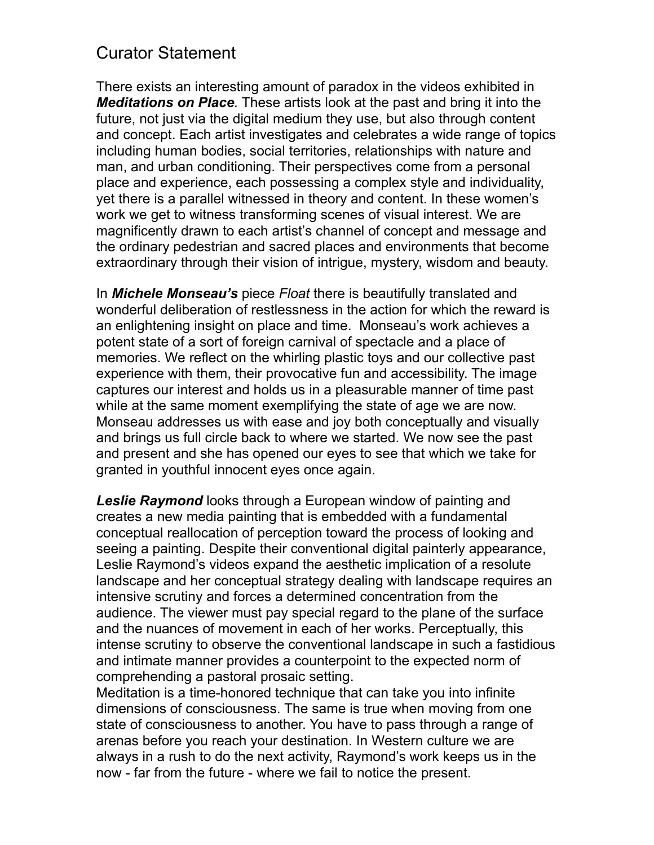## Curator Statement

There exists an interesting amount of paradox in the videos exhibited in *Meditations on Place.* These artists look at the past and bring it into the future, not just via the digital medium they use, but also through content and concept. Each artist investigates and celebrates a wide range of topics including human bodies, social territories, relationships with nature and man, and urban conditioning. Their perspectives come from a personal place and experience, each possessing a complex style and individuality, yet there is a parallel witnessed in theory and content. In these women's work we get to witness transforming scenes of visual interest. We are magnificently drawn to each artist's channel of concept and message and the ordinary pedestrian and sacred places and environments that become extraordinary through their vision of intrigue, mystery, wisdom and beauty.

In *Michele Monseau's* piece *Float* there is beautifully translated and wonderful deliberation of restlessness in the action for which the reward is an enlightening insight on place and time. Monseau's work achieves a potent state of a sort of foreign carnival of spectacle and a place of memories. We reflect on the whirling plastic toys and our collective past experience with them, their provocative fun and accessibility. The image captures our interest and holds us in a pleasurable manner of time past while at the same moment exemplifying the state of age we are now. Monseau addresses us with ease and joy both conceptually and visually and brings us full circle back to where we started. We now see the past and present and she has opened our eyes to see that which we take for granted in youthful innocent eyes once again.

*Leslie Raymond* looks through a European window of painting and creates a new media painting that is embedded with a fundamental conceptual reallocation of perception toward the process of looking and seeing a painting. Despite their conventional digital painterly appearance, Leslie Raymond's videos expand the aesthetic implication of a resolute landscape and her conceptual strategy dealing with landscape requires an intensive scrutiny and forces a determined concentration from the audience. The viewer must pay special regard to the plane of the surface and the nuances of movement in each of her works. Perceptually, this intense scrutiny to observe the conventional landscape in such a fastidious and intimate manner provides a counterpoint to the expected norm of comprehending a pastoral prosaic setting.

Meditation is a time-honored technique that can take you into infinite dimensions of consciousness. The same is true when moving from one state of consciousness to another. You have to pass through a range of arenas before you reach your destination. In Western culture we are always in a rush to do the next activity, Raymond's work keeps us in the now - far from the future - where we fail to notice the present.